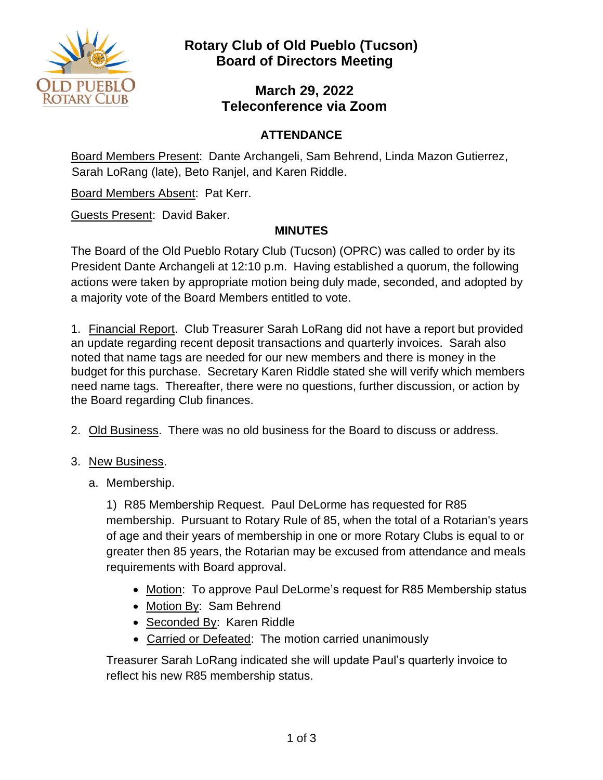

### **March 29, 2022 Teleconference via Zoom**

### **ATTENDANCE**

Board Members Present: Dante Archangeli, Sam Behrend, Linda Mazon Gutierrez, Sarah LoRang (late), Beto Ranjel, and Karen Riddle.

Board Members Absent: Pat Kerr.

Guests Present: David Baker.

#### **MINUTES**

The Board of the Old Pueblo Rotary Club (Tucson) (OPRC) was called to order by its President Dante Archangeli at 12:10 p.m. Having established a quorum, the following actions were taken by appropriate motion being duly made, seconded, and adopted by a majority vote of the Board Members entitled to vote.

1. Financial Report. Club Treasurer Sarah LoRang did not have a report but provided an update regarding recent deposit transactions and quarterly invoices. Sarah also noted that name tags are needed for our new members and there is money in the budget for this purchase. Secretary Karen Riddle stated she will verify which members need name tags. Thereafter, there were no questions, further discussion, or action by the Board regarding Club finances.

- 2. Old Business. There was no old business for the Board to discuss or address.
- 3. New Business.
	- a. Membership.

1) R85 Membership Request. Paul DeLorme has requested for R85 membership. Pursuant to Rotary Rule of 85, when the total of a Rotarian's years of age and their years of membership in one or more Rotary Clubs is equal to or greater then 85 years, the Rotarian may be excused from attendance and meals requirements with Board approval.

- Motion: To approve Paul DeLorme's request for R85 Membership status
- Motion By: Sam Behrend
- Seconded By: Karen Riddle
- Carried or Defeated: The motion carried unanimously

Treasurer Sarah LoRang indicated she will update Paul's quarterly invoice to reflect his new R85 membership status.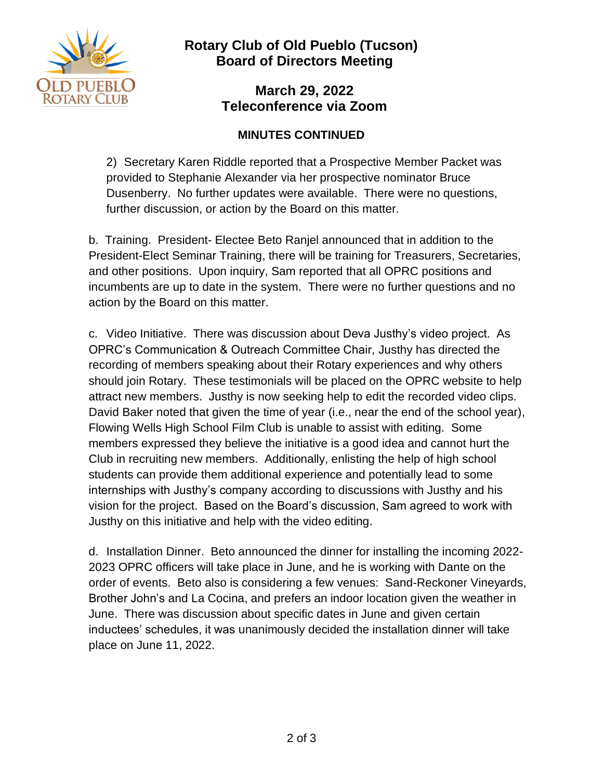

### **March 29, 2022 Teleconference via Zoom**

### **MINUTES CONTINUED**

2) Secretary Karen Riddle reported that a Prospective Member Packet was provided to Stephanie Alexander via her prospective nominator Bruce Dusenberry. No further updates were available. There were no questions, further discussion, or action by the Board on this matter.

b. Training. President- Electee Beto Ranjel announced that in addition to the President-Elect Seminar Training, there will be training for Treasurers, Secretaries, and other positions. Upon inquiry, Sam reported that all OPRC positions and incumbents are up to date in the system. There were no further questions and no action by the Board on this matter.

c. Video Initiative. There was discussion about Deva Justhy's video project. As OPRC's Communication & Outreach Committee Chair, Justhy has directed the recording of members speaking about their Rotary experiences and why others should join Rotary. These testimonials will be placed on the OPRC website to help attract new members. Justhy is now seeking help to edit the recorded video clips. David Baker noted that given the time of year (i.e., near the end of the school year), Flowing Wells High School Film Club is unable to assist with editing. Some members expressed they believe the initiative is a good idea and cannot hurt the Club in recruiting new members. Additionally, enlisting the help of high school students can provide them additional experience and potentially lead to some internships with Justhy's company according to discussions with Justhy and his vision for the project. Based on the Board's discussion, Sam agreed to work with Justhy on this initiative and help with the video editing.

d. Installation Dinner. Beto announced the dinner for installing the incoming 2022- 2023 OPRC officers will take place in June, and he is working with Dante on the order of events. Beto also is considering a few venues: Sand-Reckoner Vineyards, Brother John's and La Cocina, and prefers an indoor location given the weather in June. There was discussion about specific dates in June and given certain inductees' schedules, it was unanimously decided the installation dinner will take place on June 11, 2022.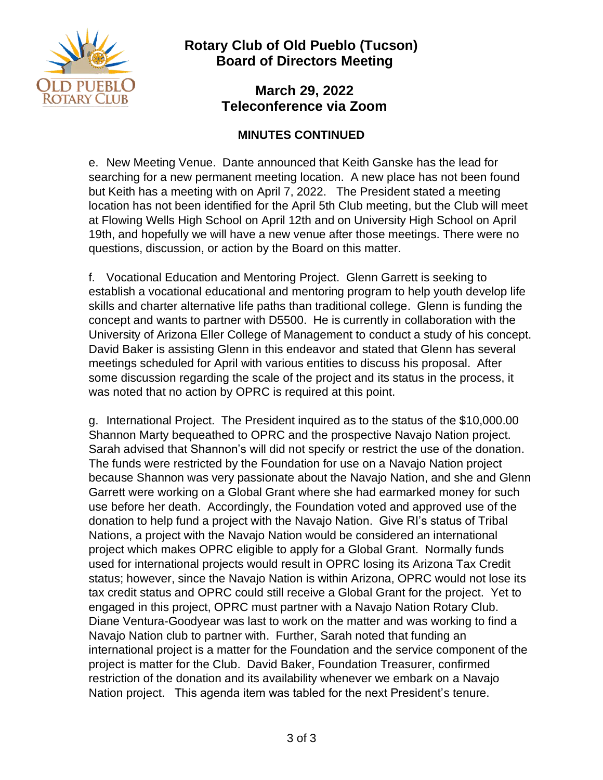

**March 29, 2022 Teleconference via Zoom** 

#### **MINUTES CONTINUED**

e. New Meeting Venue. Dante announced that Keith Ganske has the lead for searching for a new permanent meeting location. A new place has not been found but Keith has a meeting with on April 7, 2022. The President stated a meeting location has not been identified for the April 5th Club meeting, but the Club will meet at Flowing Wells High School on April 12th and on University High School on April 19th, and hopefully we will have a new venue after those meetings. There were no questions, discussion, or action by the Board on this matter.

f. Vocational Education and Mentoring Project. Glenn Garrett is seeking to establish a vocational educational and mentoring program to help youth develop life skills and charter alternative life paths than traditional college. Glenn is funding the concept and wants to partner with D5500. He is currently in collaboration with the University of Arizona Eller College of Management to conduct a study of his concept. David Baker is assisting Glenn in this endeavor and stated that Glenn has several meetings scheduled for April with various entities to discuss his proposal. After some discussion regarding the scale of the project and its status in the process, it was noted that no action by OPRC is required at this point.

g. International Project. The President inquired as to the status of the \$10,000.00 Shannon Marty bequeathed to OPRC and the prospective Navajo Nation project. Sarah advised that Shannon's will did not specify or restrict the use of the donation. The funds were restricted by the Foundation for use on a Navajo Nation project because Shannon was very passionate about the Navajo Nation, and she and Glenn Garrett were working on a Global Grant where she had earmarked money for such use before her death. Accordingly, the Foundation voted and approved use of the donation to help fund a project with the Navajo Nation. Give RI's status of Tribal Nations, a project with the Navajo Nation would be considered an international project which makes OPRC eligible to apply for a Global Grant. Normally funds used for international projects would result in OPRC losing its Arizona Tax Credit status; however, since the Navajo Nation is within Arizona, OPRC would not lose its tax credit status and OPRC could still receive a Global Grant for the project. Yet to engaged in this project, OPRC must partner with a Navajo Nation Rotary Club. Diane Ventura-Goodyear was last to work on the matter and was working to find a Navajo Nation club to partner with. Further, Sarah noted that funding an international project is a matter for the Foundation and the service component of the project is matter for the Club. David Baker, Foundation Treasurer, confirmed restriction of the donation and its availability whenever we embark on a Navajo Nation project. This agenda item was tabled for the next President's tenure.